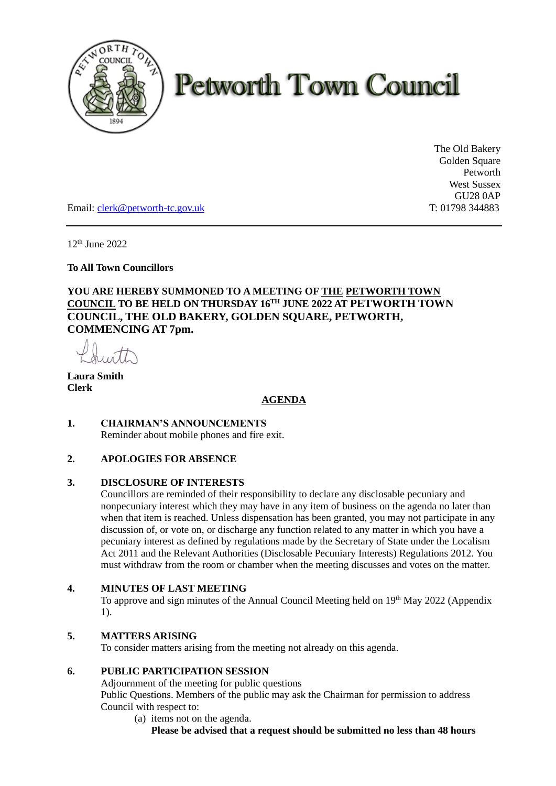

# **Petworth Town Council**

The Old Bakery Golden Square Petworth West Sussex GU28 0AP

Email: [clerk@petworth-tc.gov.uk](mailto:clerk@petworth-tc.gov.uk) T: 01798 344883

12 th June 2022

**To All Town Councillors** 

# **YOU ARE HEREBY SUMMONED TO A MEETING OF THE PETWORTH TOWN COUNCIL TO BE HELD ON THURSDAY 16 TH JUNE 2022 AT PETWORTH TOWN COUNCIL, THE OLD BAKERY, GOLDEN SQUARE, PETWORTH, COMMENCING AT 7pm.**

**Laura Smith Clerk**

# **AGENDA**

**1. CHAIRMAN'S ANNOUNCEMENTS** Reminder about mobile phones and fire exit.

# **2. APOLOGIES FOR ABSENCE**

#### **3. DISCLOSURE OF INTERESTS**

Councillors are reminded of their responsibility to declare any disclosable pecuniary and nonpecuniary interest which they may have in any item of business on the agenda no later than when that item is reached. Unless dispensation has been granted, you may not participate in any discussion of, or vote on, or discharge any function related to any matter in which you have a pecuniary interest as defined by regulations made by the Secretary of State under the Localism Act 2011 and the Relevant Authorities (Disclosable Pecuniary Interests) Regulations 2012. You must withdraw from the room or chamber when the meeting discusses and votes on the matter.

## **4. MINUTES OF LAST MEETING**

To approve and sign minutes of the Annual Council Meeting held on 19<sup>th</sup> May 2022 (Appendix 1).

#### **5. MATTERS ARISING**

To consider matters arising from the meeting not already on this agenda.

## **6. PUBLIC PARTICIPATION SESSION**

Adjournment of the meeting for public questions Public Questions. Members of the public may ask the Chairman for permission to address Council with respect to:

(a) items not on the agenda. **Please be advised that a request should be submitted no less than 48 hours**